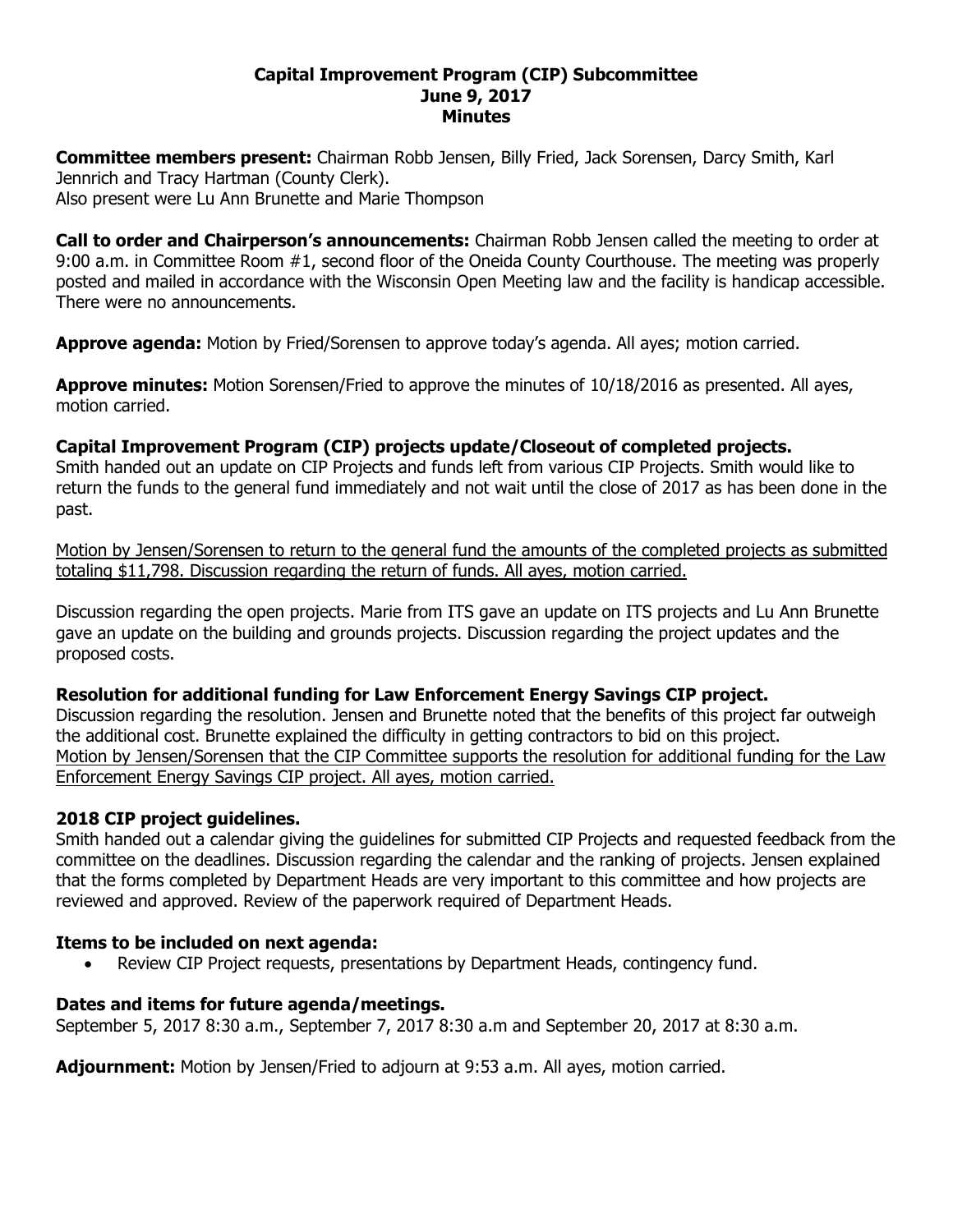### **Capital Improvement Program (CIP) Subcommittee June 9, 2017 Minutes**

**Committee members present:** Chairman Robb Jensen, Billy Fried, Jack Sorensen, Darcy Smith, Karl Jennrich and Tracy Hartman (County Clerk). Also present were Lu Ann Brunette and Marie Thompson

**Call to order and Chairperson's announcements:** Chairman Robb Jensen called the meeting to order at 9:00 a.m. in Committee Room #1, second floor of the Oneida County Courthouse. The meeting was properly posted and mailed in accordance with the Wisconsin Open Meeting law and the facility is handicap accessible. There were no announcements.

**Approve agenda:** Motion by Fried/Sorensen to approve today's agenda. All ayes; motion carried.

**Approve minutes:** Motion Sorensen/Fried to approve the minutes of 10/18/2016 as presented. All ayes, motion carried.

# **Capital Improvement Program (CIP) projects update/Closeout of completed projects.**

Smith handed out an update on CIP Projects and funds left from various CIP Projects. Smith would like to return the funds to the general fund immediately and not wait until the close of 2017 as has been done in the past.

Motion by Jensen/Sorensen to return to the general fund the amounts of the completed projects as submitted totaling \$11,798. Discussion regarding the return of funds. All ayes, motion carried.

Discussion regarding the open projects. Marie from ITS gave an update on ITS projects and Lu Ann Brunette gave an update on the building and grounds projects. Discussion regarding the project updates and the proposed costs.

## **Resolution for additional funding for Law Enforcement Energy Savings CIP project.**

Discussion regarding the resolution. Jensen and Brunette noted that the benefits of this project far outweigh the additional cost. Brunette explained the difficulty in getting contractors to bid on this project. Motion by Jensen/Sorensen that the CIP Committee supports the resolution for additional funding for the Law Enforcement Energy Savings CIP project. All ayes, motion carried.

## **2018 CIP project guidelines.**

Smith handed out a calendar giving the guidelines for submitted CIP Projects and requested feedback from the committee on the deadlines. Discussion regarding the calendar and the ranking of projects. Jensen explained that the forms completed by Department Heads are very important to this committee and how projects are reviewed and approved. Review of the paperwork required of Department Heads.

## **Items to be included on next agenda:**

Review CIP Project requests, presentations by Department Heads, contingency fund.

## **Dates and items for future agenda/meetings.**

September 5, 2017 8:30 a.m., September 7, 2017 8:30 a.m and September 20, 2017 at 8:30 a.m.

**Adjournment:** Motion by Jensen/Fried to adjourn at 9:53 a.m. All ayes, motion carried.